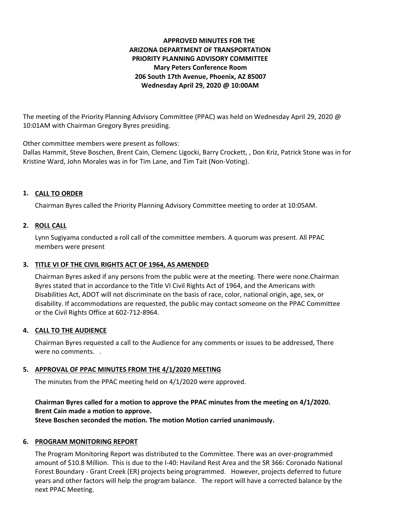# **APPROVED MINUTES FOR THE ARIZONA DEPARTMENT OF TRANSPORTATION PRIORITY PLANNING ADVISORY COMMITTEE Mary Peters Conference Room 206 South 17th Avenue, Phoenix, AZ 85007 Wednesday April 29, 2020 @ 10:00AM**

The meeting of the Priority Planning Advisory Committee (PPAC) was held on Wednesday April 29, 2020 @ 10:01AM with Chairman Gregory Byres presiding.

Other committee members were present as follows:

Dallas Hammit, Steve Boschen, Brent Cain, Clemenc Ligocki, Barry Crockett, , Don Kriz, Patrick Stone was in for Kristine Ward, John Morales was in for Tim Lane, and Tim Tait (Non-Voting).

# **CALL TO ORDER 1.**

Chairman Byres called the Priority Planning Advisory Committee meeting to order at 10:05AM.

## **ROLL CALL 2.**

Lynn Sugiyama conducted a roll call of the committee members. A quorum was present. All PPAC members were present

# **TITLE VI OF THE CIVIL RIGHTS ACT OF 1964, AS AMENDED 3.**

Chairman Byres asked if any persons from the public were at the meeting. There were none.Chairman Byres stated that in accordance to the Title VI Civil Rights Act of 1964, and the Americans with Disabilities Act, ADOT will not discriminate on the basis of race, color, national origin, age, sex, or disability. If accommodations are requested, the public may contact someone on the PPAC Committee or the Civil Rights Office at 602-712-8964.

## **CALL TO THE AUDIENCE 4.**

Chairman Byres requested a call to the Audience for any comments or issues to be addressed, There were no comments. .

## **APPROVAL OF PPAC MINUTES FROM THE 4/1/2020 MEETING 5.**

The minutes from the PPAC meeting held on 4/1/2020 were approved.

# **Chairman Byres called for a motion to approve the PPAC minutes from the meeting on 4/1/2020. Brent Cain made a motion to approve.**

**Steve Boschen seconded the motion. The motion Motion carried unanimously.**

## **6. PROGRAM MONITORING REPORT**

The Program Monitoring Report was distributed to the Committee. There was an over-programmed amount of \$10.8 Million. This is due to the I-40: Haviland Rest Area and the SR 366: Coronado National Forest Boundary - Grant Creek (ER) projects being programmed. However, projects deferred to future years and other factors will help the program balance. The report will have a corrected balance by the next PPAC Meeting.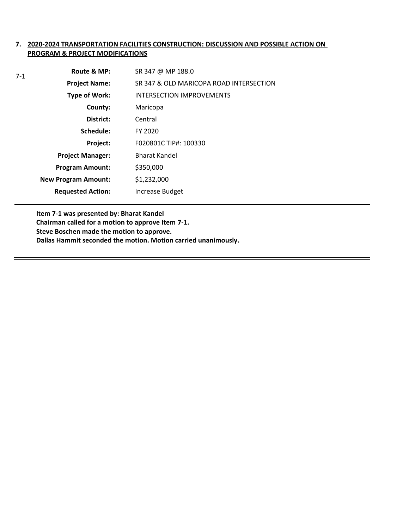## **7. 2020-2024 TRANSPORTATION FACILITIES CONSTRUCTION: DISCUSSION AND POSSIBLE ACTION ON PROGRAM & PROJECT MODIFICATIONS**

| $7-1$ | Route & MP:                | SR 347 @ MP 188.0                       |
|-------|----------------------------|-----------------------------------------|
|       | <b>Project Name:</b>       | SR 347 & OLD MARICOPA ROAD INTERSECTION |
|       | <b>Type of Work:</b>       | <b>INTERSECTION IMPROVEMENTS</b>        |
|       | County:                    | Maricopa                                |
|       | District:                  | Central                                 |
|       | Schedule:                  | FY 2020                                 |
|       | Project:                   | F020801C TIP#: 100330                   |
|       | <b>Project Manager:</b>    | <b>Bharat Kandel</b>                    |
|       | <b>Program Amount:</b>     | \$350,000                               |
|       | <b>New Program Amount:</b> | \$1,232,000                             |
|       | <b>Requested Action:</b>   | Increase Budget                         |

**Item 7-1 was presented by: Bharat Kandel Chairman called for a motion to approve Item 7-1.**

**Steve Boschen made the motion to approve.**

**Dallas Hammit seconded the motion. Motion carried unanimously.**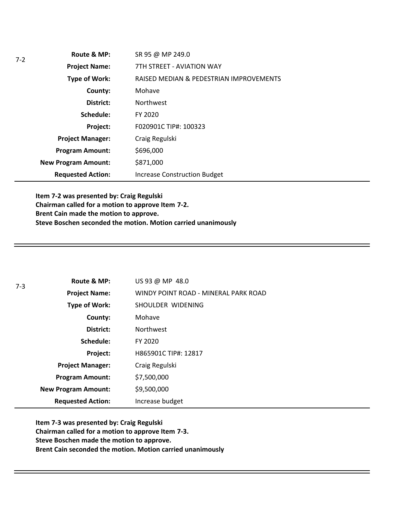|  | Route & MP:                | SR 95 @ MP 249.0                        |
|--|----------------------------|-----------------------------------------|
|  | <b>Project Name:</b>       | 7TH STREET - AVIATION WAY               |
|  | <b>Type of Work:</b>       | RAISED MEDIAN & PEDESTRIAN IMPROVEMENTS |
|  | County:                    | Mohave                                  |
|  | District:                  | <b>Northwest</b>                        |
|  | Schedule:                  | FY 2020                                 |
|  | Project:                   | F020901C TIP#: 100323                   |
|  | <b>Project Manager:</b>    | Craig Regulski                          |
|  | <b>Program Amount:</b>     | \$696,000                               |
|  | <b>New Program Amount:</b> | \$871,000                               |
|  | <b>Requested Action:</b>   | <b>Increase Construction Budget</b>     |

**Item 7-2 was presented by: Craig Regulski Chairman called for a motion to approve Item 7-2. Brent Cain made the motion to approve. Steve Boschen seconded the motion. Motion carried unanimously**

| $7 - 3$ | Route & MP:                | US 93 @ MP 48.0                      |
|---------|----------------------------|--------------------------------------|
|         | <b>Project Name:</b>       | WINDY POINT ROAD - MINERAL PARK ROAD |
|         | <b>Type of Work:</b>       | SHOULDER WIDENING                    |
|         | County:                    | Mohave                               |
|         | District:                  | <b>Northwest</b>                     |
|         | Schedule:                  | FY 2020                              |
|         | Project:                   | H865901C TIP#: 12817                 |
|         | <b>Project Manager:</b>    | Craig Regulski                       |
|         | <b>Program Amount:</b>     | \$7,500,000                          |
|         | <b>New Program Amount:</b> | \$9,500,000                          |
|         | <b>Requested Action:</b>   | Increase budget                      |

**Item 7-3 was presented by: Craig Regulski Chairman called for a motion to approve Item 7-3. Steve Boschen made the motion to approve. Brent Cain seconded the motion. Motion carried unanimously**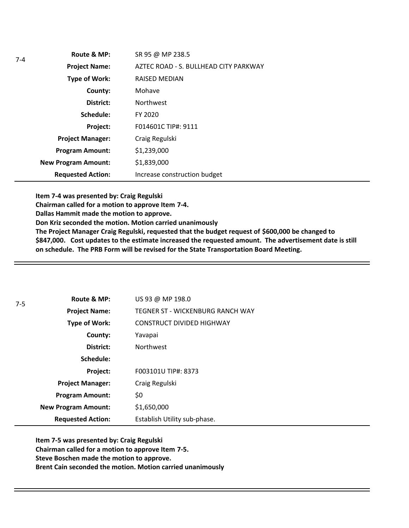| Route & MP:                | SR 95 @ MP 238.5                      |
|----------------------------|---------------------------------------|
| <b>Project Name:</b>       | AZTEC ROAD - S. BULLHEAD CITY PARKWAY |
| <b>Type of Work:</b>       | <b>RAISED MEDIAN</b>                  |
| County:                    | Mohave                                |
| District:                  | <b>Northwest</b>                      |
| Schedule:                  | FY 2020                               |
| Project:                   | F014601C TIP#: 9111                   |
| <b>Project Manager:</b>    | Craig Regulski                        |
| <b>Program Amount:</b>     | \$1,239,000                           |
| <b>New Program Amount:</b> | \$1,839,000                           |
| <b>Requested Action:</b>   | Increase construction budget          |

**Item 7-4 was presented by: Craig Regulski**

**Chairman called for a motion to approve Item 7-4.**

**Dallas Hammit made the motion to approve.**

**Don Kriz seconded the motion. Motion carried unanimously**

**The Project Manager Craig Regulski, requested that the budget request of \$600,000 be changed to \$847,000. Cost updates to the estimate increased the requested amount. The advertisement date is still on schedule. The PRB Form will be revised for the State Transportation Board Meeting.** 

| $7-5$ | Route & MP:                | US 93 @ MP 198.0                 |
|-------|----------------------------|----------------------------------|
|       | <b>Project Name:</b>       | TEGNER ST - WICKENBURG RANCH WAY |
|       | Type of Work:              | <b>CONSTRUCT DIVIDED HIGHWAY</b> |
|       | County:                    | Yavapai                          |
|       | District:                  | <b>Northwest</b>                 |
|       | Schedule:                  |                                  |
|       | Project:                   | F003101U TIP#: 8373              |
|       | <b>Project Manager:</b>    | Craig Regulski                   |
|       | <b>Program Amount:</b>     | \$0                              |
|       | <b>New Program Amount:</b> | \$1,650,000                      |
|       | <b>Requested Action:</b>   | Establish Utility sub-phase.     |

**Item 7-5 was presented by: Craig Regulski Chairman called for a motion to approve Item 7-5. Steve Boschen made the motion to approve. Brent Cain seconded the motion. Motion carried unanimously**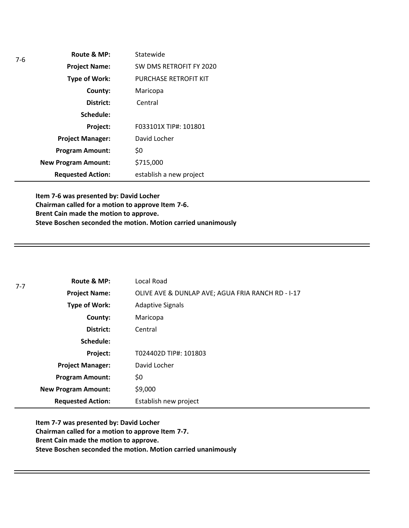| Route & MP:                | Statewide                    |
|----------------------------|------------------------------|
| <b>Project Name:</b>       | SW DMS RETROFIT FY 2020      |
| <b>Type of Work:</b>       | <b>PURCHASE RETROFIT KIT</b> |
| County:                    | Maricopa                     |
| District:                  | Central                      |
| Schedule:                  |                              |
| Project:                   | F033101X TIP#: 101801        |
| <b>Project Manager:</b>    | David Locher                 |
| <b>Program Amount:</b>     | \$0                          |
| <b>New Program Amount:</b> | \$715,000                    |
| <b>Requested Action:</b>   | establish a new project      |

**Item 7-6 was presented by: David Locher Chairman called for a motion to approve Item 7-6. Brent Cain made the motion to approve. Steve Boschen seconded the motion. Motion carried unanimously**

| $7 - 7$ | Route & MP:                | Local Road                                        |
|---------|----------------------------|---------------------------------------------------|
|         | <b>Project Name:</b>       | OLIVE AVE & DUNLAP AVE; AGUA FRIA RANCH RD - I-17 |
|         | Type of Work:              | <b>Adaptive Signals</b>                           |
|         | County:                    | Maricopa                                          |
|         | District:                  | Central                                           |
|         | Schedule:                  |                                                   |
|         | Project:                   | T024402D TIP#: 101803                             |
|         | <b>Project Manager:</b>    | David Locher                                      |
|         | <b>Program Amount:</b>     | \$0                                               |
|         | <b>New Program Amount:</b> | \$9,000                                           |
|         | <b>Requested Action:</b>   | Establish new project                             |

**Item 7-7 was presented by: David Locher Chairman called for a motion to approve Item 7-7. Brent Cain made the motion to approve. Steve Boschen seconded the motion. Motion carried unanimously**

7-6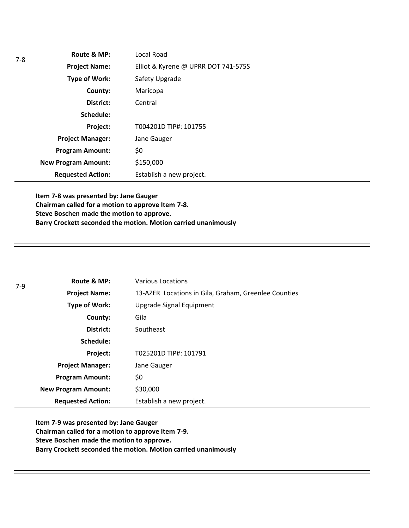| $7 - 8$ | Route & MP:                | Local Road                          |
|---------|----------------------------|-------------------------------------|
|         | <b>Project Name:</b>       | Elliot & Kyrene @ UPRR DOT 741-575S |
|         | Type of Work:              | Safety Upgrade                      |
|         | County:                    | Maricopa                            |
|         | District:                  | Central                             |
|         | Schedule:                  |                                     |
|         | <b>Project:</b>            | T004201D TIP#: 101755               |
|         | <b>Project Manager:</b>    | Jane Gauger                         |
|         | <b>Program Amount:</b>     | \$0                                 |
|         | <b>New Program Amount:</b> | \$150,000                           |
|         | <b>Requested Action:</b>   | Establish a new project.            |

**Item 7-8 was presented by: Jane Gauger Chairman called for a motion to approve Item 7-8. Steve Boschen made the motion to approve. Barry Crockett seconded the motion. Motion carried unanimously**

| $7-9$ | Route & MP:                | <b>Various Locations</b>                             |
|-------|----------------------------|------------------------------------------------------|
|       | <b>Project Name:</b>       | 13-AZER Locations in Gila, Graham, Greenlee Counties |
|       | Type of Work:              | Upgrade Signal Equipment                             |
|       | County:                    | Gila                                                 |
|       | District:                  | Southeast                                            |
|       | Schedule:                  |                                                      |
|       | Project:                   | T025201D TIP#: 101791                                |
|       | <b>Project Manager:</b>    | Jane Gauger                                          |
|       | <b>Program Amount:</b>     | \$0                                                  |
|       | <b>New Program Amount:</b> | \$30,000                                             |
|       | <b>Requested Action:</b>   | Establish a new project.                             |

**Item 7-9 was presented by: Jane Gauger Chairman called for a motion to approve Item 7-9. Steve Boschen made the motion to approve. Barry Crockett seconded the motion. Motion carried unanimously**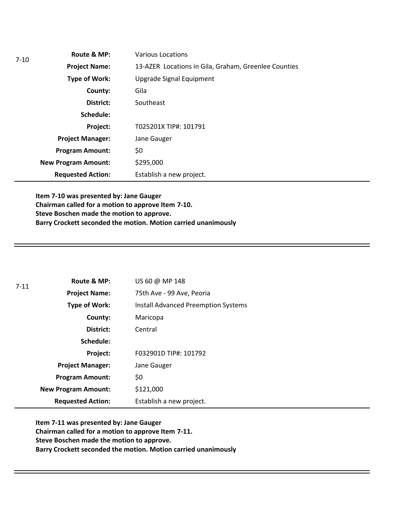| $7-10$ | Route & MP:                | Various Locations                                    |
|--------|----------------------------|------------------------------------------------------|
|        | <b>Project Name:</b>       | 13-AZER Locations in Gila, Graham, Greenlee Counties |
|        | Type of Work:              | Upgrade Signal Equipment                             |
|        | County:                    | Gila                                                 |
|        | District:                  | Southeast                                            |
|        | Schedule:                  |                                                      |
|        | Project:                   | T025201X TIP#: 101791                                |
|        | <b>Project Manager:</b>    | Jane Gauger                                          |
|        | <b>Program Amount:</b>     | \$0                                                  |
|        | <b>New Program Amount:</b> | \$295,000                                            |
|        | <b>Requested Action:</b>   | Establish a new project.                             |

**Item 7-10 was presented by: Jane Gauger Chairman called for a motion to approve Item 7-10. Steve Boschen made the motion to approve. Barry Crockett seconded the motion. Motion carried unanimously**

| $7 - 11$ | Route & MP:                | US 60 @ MP 148                             |
|----------|----------------------------|--------------------------------------------|
|          | <b>Project Name:</b>       | 75th Ave - 99 Ave, Peoria                  |
|          | Type of Work:              | <b>Install Advanced Preemption Systems</b> |
|          | County:                    | Maricopa                                   |
|          | District:                  | Central                                    |
|          | Schedule:                  |                                            |
|          | Project:                   | F032901D TIP#: 101792                      |
|          | <b>Project Manager:</b>    | Jane Gauger                                |
|          | <b>Program Amount:</b>     | \$0                                        |
|          | <b>New Program Amount:</b> | \$121,000                                  |
|          | <b>Requested Action:</b>   | Establish a new project.                   |

**Item 7-11 was presented by: Jane Gauger Chairman called for a motion to approve Item 7-11. Steve Boschen made the motion to approve. Barry Crockett seconded the motion. Motion carried unanimously**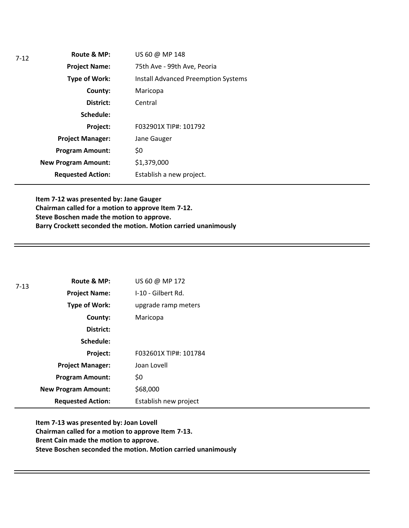| Route & MP:                | US 60 @ MP 148                             |
|----------------------------|--------------------------------------------|
| <b>Project Name:</b>       | 75th Ave - 99th Ave, Peoria                |
| <b>Type of Work:</b>       | <b>Install Advanced Preemption Systems</b> |
| County:                    | Maricopa                                   |
| District:                  | Central                                    |
| Schedule:                  |                                            |
| Project:                   | F032901X TIP#: 101792                      |
| <b>Project Manager:</b>    | Jane Gauger                                |
| <b>Program Amount:</b>     | \$0                                        |
| <b>New Program Amount:</b> | \$1,379,000                                |
| <b>Requested Action:</b>   | Establish a new project.                   |
|                            |                                            |

**Item 7-12 was presented by: Jane Gauger Chairman called for a motion to approve Item 7-12. Steve Boschen made the motion to approve. Barry Crockett seconded the motion. Motion carried unanimously**

| $7 - 13$ | Route & MP:                | US 60 @ MP 172        |
|----------|----------------------------|-----------------------|
|          | <b>Project Name:</b>       | I-10 - Gilbert Rd.    |
|          | <b>Type of Work:</b>       | upgrade ramp meters   |
|          | County:                    | Maricopa              |
|          | District:                  |                       |
|          | Schedule:                  |                       |
|          | Project:                   | F032601X TIP#: 101784 |
|          | <b>Project Manager:</b>    | Joan Lovell           |
|          | <b>Program Amount:</b>     | \$0                   |
|          | <b>New Program Amount:</b> | \$68,000              |
|          | <b>Requested Action:</b>   | Establish new project |

**Item 7-13 was presented by: Joan Lovell Chairman called for a motion to approve Item 7-13. Brent Cain made the motion to approve. Steve Boschen seconded the motion. Motion carried unanimously**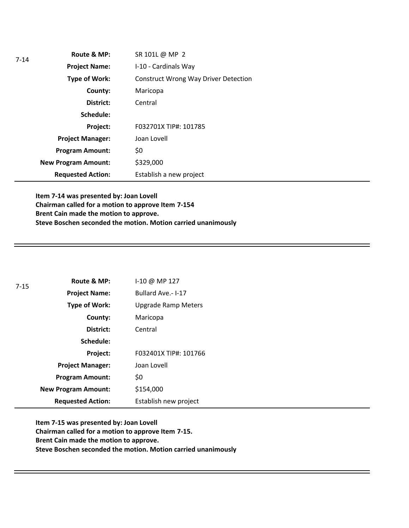| $7 - 14$ | Route & MP:                | SR 101L @ MP 2                              |
|----------|----------------------------|---------------------------------------------|
|          | <b>Project Name:</b>       | I-10 - Cardinals Way                        |
|          | Type of Work:              | <b>Construct Wrong Way Driver Detection</b> |
|          | County:                    | Maricopa                                    |
|          | District:                  | Central                                     |
|          | Schedule:                  |                                             |
|          | Project:                   | F032701X TIP#: 101785                       |
|          | <b>Project Manager:</b>    | Joan Lovell                                 |
|          | <b>Program Amount:</b>     | \$0                                         |
|          | <b>New Program Amount:</b> | \$329,000                                   |
|          | <b>Requested Action:</b>   | Establish a new project                     |

**Item 7-14 was presented by: Joan Lovell Chairman called for a motion to approve Item 7-154 Brent Cain made the motion to approve. Steve Boschen seconded the motion. Motion carried unanimously**

| $7 - 15$ | Route & MP:                | I-10 @ MP 127              |
|----------|----------------------------|----------------------------|
|          | <b>Project Name:</b>       | Bullard Ave.- I-17         |
|          | Type of Work:              | <b>Upgrade Ramp Meters</b> |
|          | County:                    | Maricopa                   |
|          | District:                  | Central                    |
|          | Schedule:                  |                            |
|          | Project:                   | F032401X TIP#: 101766      |
|          | <b>Project Manager:</b>    | Joan Lovell                |
|          | <b>Program Amount:</b>     | \$0                        |
|          | <b>New Program Amount:</b> | \$154,000                  |
|          | <b>Requested Action:</b>   | Establish new project      |

**Item 7-15 was presented by: Joan Lovell Chairman called for a motion to approve Item 7-15. Brent Cain made the motion to approve. Steve Boschen seconded the motion. Motion carried unanimously**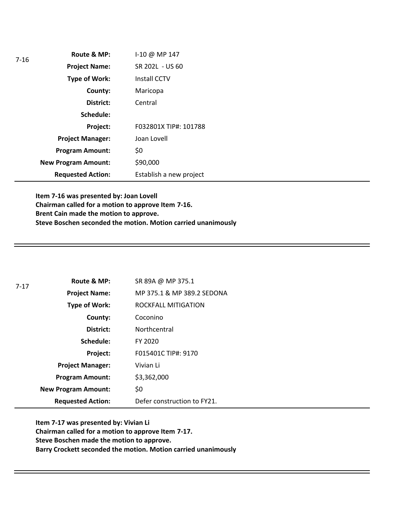| $7 - 16$ | Route & MP:                | I-10 @ MP 147           |
|----------|----------------------------|-------------------------|
|          | <b>Project Name:</b>       | SR 202L - US 60         |
|          | Type of Work:              | <b>Install CCTV</b>     |
|          | County:                    | Maricopa                |
|          | District:                  | Central                 |
|          | Schedule:                  |                         |
|          | Project:                   | F032801X TIP#: 101788   |
|          | <b>Project Manager:</b>    | Joan Lovell             |
|          | <b>Program Amount:</b>     | \$0                     |
|          | <b>New Program Amount:</b> | \$90,000                |
|          | <b>Requested Action:</b>   | Establish a new project |

**Item 7-16 was presented by: Joan Lovell Chairman called for a motion to approve Item 7-16. Brent Cain made the motion to approve. Steve Boschen seconded the motion. Motion carried unanimously**

| $7 - 17$ | Route & MP:                | SR 89A @ MP 375.1           |
|----------|----------------------------|-----------------------------|
|          | <b>Project Name:</b>       | MP 375.1 & MP 389.2 SEDONA  |
|          | <b>Type of Work:</b>       | ROCKFALL MITIGATION         |
|          | County:                    | Coconino                    |
|          | District:                  | Northcentral                |
|          | Schedule:                  | FY 2020                     |
|          | Project:                   | F015401C TIP#: 9170         |
|          | <b>Project Manager:</b>    | Vivian Li                   |
|          | <b>Program Amount:</b>     | \$3,362,000                 |
|          | <b>New Program Amount:</b> | \$0                         |
|          | <b>Requested Action:</b>   | Defer construction to FY21. |

**Item 7-17 was presented by: Vivian Li Chairman called for a motion to approve Item 7-17. Steve Boschen made the motion to approve. Barry Crockett seconded the motion. Motion carried unanimously**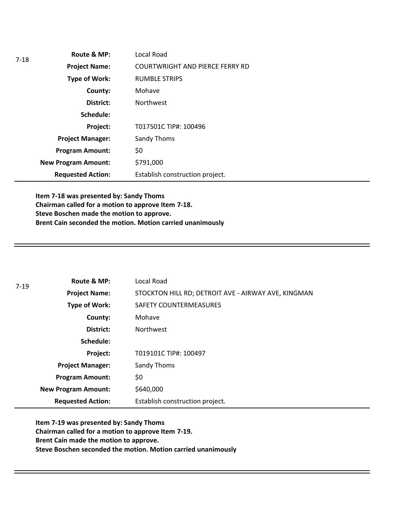| $7-18$ | Route & MP:                | Local Road                             |
|--------|----------------------------|----------------------------------------|
|        | <b>Project Name:</b>       | <b>COURTWRIGHT AND PIERCE FERRY RD</b> |
|        | <b>Type of Work:</b>       | <b>RUMBLE STRIPS</b>                   |
|        | County:                    | Mohave                                 |
|        | District:                  | <b>Northwest</b>                       |
|        | Schedule:                  |                                        |
|        | Project:                   | T017501C TIP#: 100496                  |
|        | <b>Project Manager:</b>    | Sandy Thoms                            |
|        | <b>Program Amount:</b>     | \$0                                    |
|        | <b>New Program Amount:</b> | \$791,000                              |
|        | <b>Requested Action:</b>   | Establish construction project.        |

**Item 7-18 was presented by: Sandy Thoms Chairman called for a motion to approve Item 7-18. Steve Boschen made the motion to approve. Brent Cain seconded the motion. Motion carried unanimously**

| $7 - 19$ | Route & MP:                | Local Road                                          |  |
|----------|----------------------------|-----------------------------------------------------|--|
|          | <b>Project Name:</b>       | STOCKTON HILL RD; DETROIT AVE - AIRWAY AVE, KINGMAN |  |
|          | <b>Type of Work:</b>       | <b>SAFETY COUNTERMEASURES</b>                       |  |
|          | County:                    | Mohave                                              |  |
|          | District:                  | <b>Northwest</b>                                    |  |
|          | Schedule:                  |                                                     |  |
|          | Project:                   | T019101C TIP#: 100497                               |  |
|          | <b>Project Manager:</b>    | Sandy Thoms                                         |  |
|          | <b>Program Amount:</b>     | \$0                                                 |  |
|          | <b>New Program Amount:</b> | \$640,000                                           |  |
|          | <b>Requested Action:</b>   | Establish construction project.                     |  |

**Item 7-19 was presented by: Sandy Thoms Chairman called for a motion to approve Item 7-19. Brent Cain made the motion to approve. Steve Boschen seconded the motion. Motion carried unanimously**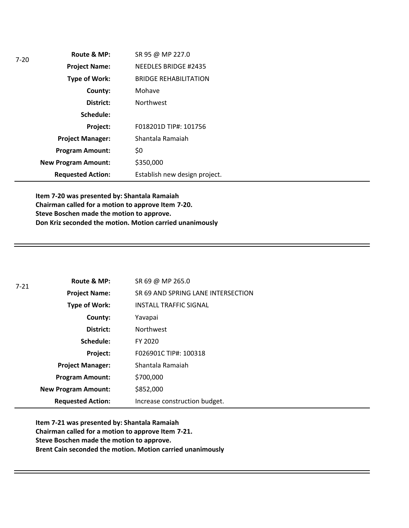| $7-20$ | Route & MP:                | SR 95 @ MP 227.0              |
|--------|----------------------------|-------------------------------|
|        | <b>Project Name:</b>       | <b>NEEDLES BRIDGE #2435</b>   |
|        | <b>Type of Work:</b>       | <b>BRIDGE REHABILITATION</b>  |
|        | County:                    | Mohave                        |
|        | District:                  | <b>Northwest</b>              |
|        | Schedule:                  |                               |
|        | Project:                   | F018201D TIP#: 101756         |
|        | <b>Project Manager:</b>    | Shantala Ramaiah              |
|        | <b>Program Amount:</b>     | \$0                           |
|        | <b>New Program Amount:</b> | \$350,000                     |
|        | <b>Requested Action:</b>   | Establish new design project. |

**Item 7-20 was presented by: Shantala Ramaiah Chairman called for a motion to approve Item 7-20. Steve Boschen made the motion to approve. Don Kriz seconded the motion. Motion carried unanimously**

| 7-21 | Route & MP:                | SR 69 @ MP 265.0                   |
|------|----------------------------|------------------------------------|
|      | <b>Project Name:</b>       | SR 69 AND SPRING LANE INTERSECTION |
|      | <b>Type of Work:</b>       | <b>INSTALL TRAFFIC SIGNAL</b>      |
|      | County:                    | Yavapai                            |
|      | District:                  | <b>Northwest</b>                   |
|      | Schedule:                  | FY 2020                            |
|      | Project:                   | F026901C TIP#: 100318              |
|      | <b>Project Manager:</b>    | Shantala Ramaiah                   |
|      | <b>Program Amount:</b>     | \$700,000                          |
|      | <b>New Program Amount:</b> | \$852,000                          |
|      | <b>Requested Action:</b>   | Increase construction budget.      |

**Item 7-21 was presented by: Shantala Ramaiah Chairman called for a motion to approve Item 7-21. Steve Boschen made the motion to approve. Brent Cain seconded the motion. Motion carried unanimously**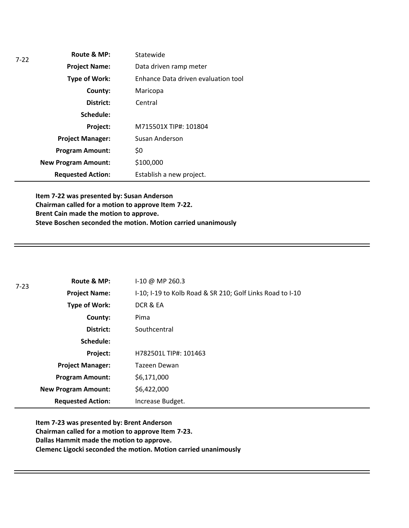| 7-22 | Route & MP:                | Statewide                           |
|------|----------------------------|-------------------------------------|
|      | <b>Project Name:</b>       | Data driven ramp meter              |
|      | <b>Type of Work:</b>       | Enhance Data driven evaluation tool |
|      | County:                    | Maricopa                            |
|      | District:                  | Central                             |
|      | Schedule:                  |                                     |
|      | Project:                   | M715501X TIP#: 101804               |
|      | <b>Project Manager:</b>    | Susan Anderson                      |
|      | <b>Program Amount:</b>     | \$0                                 |
|      | <b>New Program Amount:</b> | \$100,000                           |
|      | <b>Requested Action:</b>   | Establish a new project.            |

**Item 7-22 was presented by: Susan Anderson Chairman called for a motion to approve Item 7-22. Brent Cain made the motion to approve. Steve Boschen seconded the motion. Motion carried unanimously**

| $7 - 23$ | Route & MP:                | I-10 @ MP 260.3                                           |
|----------|----------------------------|-----------------------------------------------------------|
|          | <b>Project Name:</b>       | I-10; I-19 to Kolb Road & SR 210; Golf Links Road to I-10 |
|          | <b>Type of Work:</b>       | DCR & EA                                                  |
|          | County:                    | Pima                                                      |
|          | District:                  | Southcentral                                              |
|          | Schedule:                  |                                                           |
|          | Project:                   | H782501L TIP#: 101463                                     |
|          | <b>Project Manager:</b>    | Tazeen Dewan                                              |
|          | <b>Program Amount:</b>     | \$6,171,000                                               |
|          | <b>New Program Amount:</b> | \$6,422,000                                               |
|          | <b>Requested Action:</b>   | Increase Budget.                                          |

**Item 7-23 was presented by: Brent Anderson Chairman called for a motion to approve Item 7-23. Dallas Hammit made the motion to approve. Clemenc Ligocki seconded the motion. Motion carried unanimously**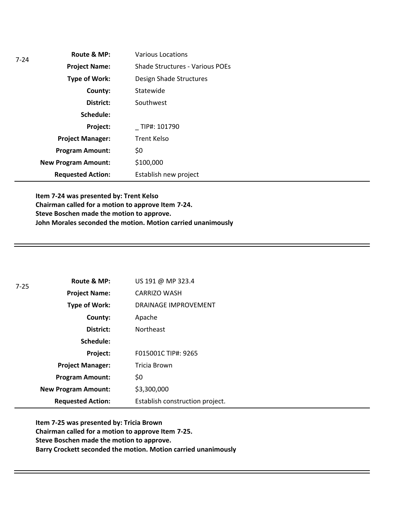| 7-24 | Route & MP:                | <b>Various Locations</b>        |
|------|----------------------------|---------------------------------|
|      | <b>Project Name:</b>       | Shade Structures - Various POEs |
|      | <b>Type of Work:</b>       | Design Shade Structures         |
|      | County:                    | Statewide                       |
|      | District:                  | Southwest                       |
|      | Schedule:                  |                                 |
|      | Project:                   | TIP#: 101790                    |
|      | <b>Project Manager:</b>    | <b>Trent Kelso</b>              |
|      | <b>Program Amount:</b>     | \$0                             |
|      | <b>New Program Amount:</b> | \$100,000                       |
|      | <b>Requested Action:</b>   | Establish new project           |

**Item 7-24 was presented by: Trent Kelso Chairman called for a motion to approve Item 7-24. Steve Boschen made the motion to approve. John Morales seconded the motion. Motion carried unanimously**

| $7 - 25$ | Route & MP:                | US 191 @ MP 323.4               |
|----------|----------------------------|---------------------------------|
|          | <b>Project Name:</b>       | <b>CARRIZO WASH</b>             |
|          | <b>Type of Work:</b>       | DRAINAGE IMPROVEMENT            |
|          | County:                    | Apache                          |
|          | District:                  | <b>Northeast</b>                |
|          | Schedule:                  |                                 |
|          | Project:                   | F015001C TIP#: 9265             |
|          | <b>Project Manager:</b>    | Tricia Brown                    |
|          | <b>Program Amount:</b>     | \$0                             |
|          | <b>New Program Amount:</b> | \$3,300,000                     |
|          | <b>Requested Action:</b>   | Establish construction project. |

**Item 7-25 was presented by: Tricia Brown Chairman called for a motion to approve Item 7-25. Steve Boschen made the motion to approve. Barry Crockett seconded the motion. Motion carried unanimously**